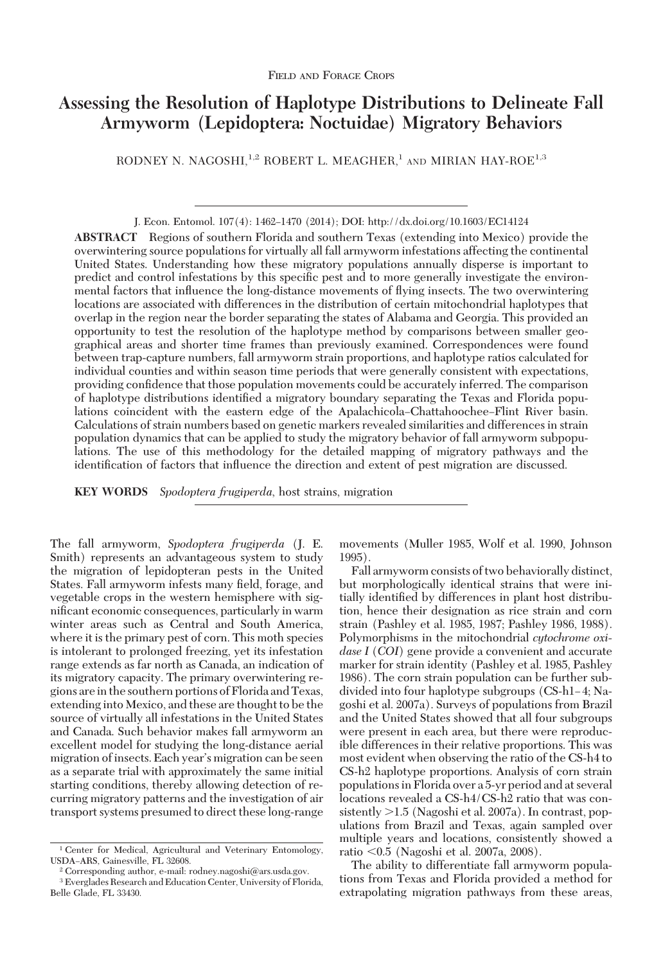# **Assessing the Resolution of Haplotype Distributions to Delineate Fall Armyworm (Lepidoptera: Noctuidae) Migratory Behaviors**

RODNEY N. NAGOSHI,<sup>1,2</sup> ROBERT L. MEAGHER,<sup>1</sup> AND MIRIAN HAY-ROE<sup>1,3</sup>

**ABSTRACT** Regions of southern Florida and southern Texas (extending into Mexico) provide the overwintering source populations for virtually all fall armyworm infestations affecting the continental United States. Understanding how these migratory populations annually disperse is important to predict and control infestations by this specific pest and to more generally investigate the environmental factors that inßuence the long-distance movements of ßying insects. The two overwintering locations are associated with differences in the distribution of certain mitochondrial haplotypes that overlap in the region near the border separating the states of Alabama and Georgia. This provided an opportunity to test the resolution of the haplotype method by comparisons between smaller geographical areas and shorter time frames than previously examined. Correspondences were found between trap-capture numbers, fall armyworm strain proportions, and haplotype ratios calculated for individual counties and within season time periods that were generally consistent with expectations, providing confidence that those population movements could be accurately inferred. The comparison of haplotype distributions identified a migratory boundary separating the Texas and Florida populations coincident with the eastern edge of the Apalachicola–Chattahoochee–Flint River basin. Calculations of strain numbers based on genetic markers revealed similarities and differences in strain population dynamics that can be applied to study the migratory behavior of fall armyworm subpopulations. The use of this methodology for the detailed mapping of migratory pathways and the identification of factors that influence the direction and extent of pest migration are discussed.

**KEY WORDS** *Spodoptera frugiperda*, host strains, migration

The fall armyworm, *Spodoptera frugiperda* (J. E. Smith) represents an advantageous system to study the migration of lepidopteran pests in the United States. Fall armyworm infests many field, forage, and vegetable crops in the western hemisphere with significant economic consequences, particularly in warm winter areas such as Central and South America, where it is the primary pest of corn. This moth species is intolerant to prolonged freezing, yet its infestation range extends as far north as Canada, an indication of its migratory capacity. The primary overwintering regions arein the southern portions of Florida and Texas, extending into Mexico, and these are thought to be the source of virtually all infestations in the United States and Canada. Such behavior makes fall armyworm an excellent model for studying the long-distance aerial migration of insects. Each year's migration can be seen as a separate trial with approximately the same initial starting conditions, thereby allowing detection of recurring migratory patterns and the investigation of air transport systems presumed to direct these long-range movements (Muller 1985, Wolf et al. 1990, Johnson 1995).

Fall armyworm consists of two behaviorally distinct, but morphologically identical strains that were initially identified by differences in plant host distribution, hence their designation as rice strain and corn strain (Pashley et al. 1985, 1987; Pashley 1986, 1988). Polymorphisms in the mitochondrial *cytochrome oxidase I* (*COI*) gene provide a convenient and accurate marker for strain identity (Pashley et al. 1985, Pashley 1986). The corn strain population can be further subdivided into four haplotype subgroups (CS-h1-4; Nagoshi et al. 2007a). Surveys of populations from Brazil and the United States showed that all four subgroups were present in each area, but there were reproducible differences in their relative proportions. This was most evident when observing the ratio of the CS-h4 to CS-h2 haplotype proportions. Analysis of corn strain populations in Florida over a 5-yr period and at several locations revealed a CS-h4/CS-h2 ratio that was consistently -1.5 (Nagoshi et al. 2007a). In contrast, populations from Brazil and Texas, again sampled over multiple years and locations, consistently showed a ratio  $\leq 0.5$  (Nagoshi et al. 2007a, 2008).

The ability to differentiate fall armyworm populations from Texas and Florida provided a method for extrapolating migration pathways from these areas,

J. Econ. Entomol. 107(4): 1462–1470 (2014); DOI: http://dx.doi.org/10.1603/EC14124

<sup>1</sup> Center for Medical, Agricultural and Veterinary Entomology, USDA-ARS, Gainesville, FL 32608.

<sup>2</sup> Corresponding author, e-mail: rodney.nagoshi@ars.usda.gov.

<sup>3</sup> Everglades Research and Education Center, University of Florida, Belle Glade, FL 33430.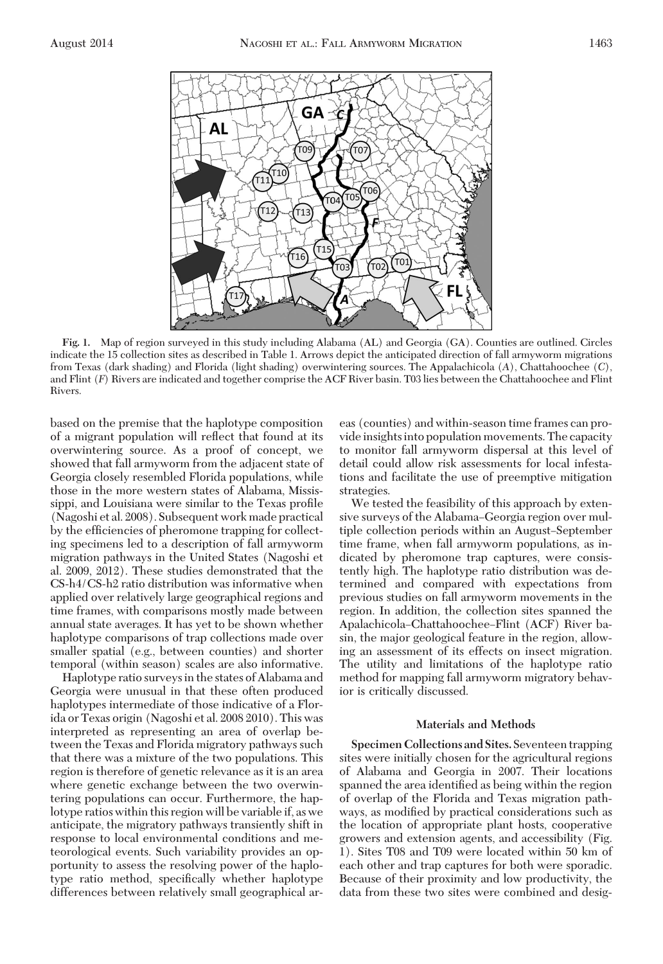

**Fig. 1.** Map of region surveyed in this study including Alabama (AL) and Georgia (GA). Counties are outlined. Circles indicate the 15 collection sites as described in Table 1. Arrows depict the anticipated direction of fall armyworm migrations from Texas (dark shading) and Florida (light shading) overwintering sources. The Appalachicola (*A*), Chattahoochee (*C*), and Flint (*F*) Rivers are indicated and together comprise the ACF River basin. T03 lies between the Chattahoochee and Flint Rivers.

based on the premise that the haplotype composition of a migrant population will reßect that found at its overwintering source. As a proof of concept, we showed that fall armyworm from the adjacent state of Georgia closely resembled Florida populations, while those in the more western states of Alabama, Mississippi, and Louisiana were similar to the Texas profile (Nagoshi et al. 2008). Subsequent work made practical by the efficiencies of pheromone trapping for collecting specimens led to a description of fall armyworm migration pathways in the United States (Nagoshi et al. 2009, 2012). These studies demonstrated that the CS-h4/CS-h2 ratio distribution was informative when applied over relatively large geographical regions and time frames, with comparisons mostly made between annual state averages. It has yet to be shown whether haplotype comparisons of trap collections made over smaller spatial (e.g., between counties) and shorter temporal (within season) scales are also informative.

Haplotype ratio surveysin the states of Alabama and Georgia were unusual in that these often produced haplotypes intermediate of those indicative of a Florida or Texas origin (Nagoshi et al. 2008 2010). This was interpreted as representing an area of overlap between the Texas and Florida migratory pathways such that there was a mixture of the two populations. This region is therefore of genetic relevance as it is an area where genetic exchange between the two overwintering populations can occur. Furthermore, the haplotype ratios within this region will be variable if, as we anticipate, the migratory pathways transiently shift in response to local environmental conditions and meteorological events. Such variability provides an opportunity to assess the resolving power of the haplotype ratio method, specifically whether haplotype differences between relatively small geographical areas (counties) and within-season time frames can provide insights into population movements. The capacity to monitor fall armyworm dispersal at this level of detail could allow risk assessments for local infestations and facilitate the use of preemptive mitigation strategies.

We tested the feasibility of this approach by extensive surveys of the Alabama–Georgia region over multiple collection periods within an August–September time frame, when fall armyworm populations, as indicated by pheromone trap captures, were consistently high. The haplotype ratio distribution was determined and compared with expectations from previous studies on fall armyworm movements in the region. In addition, the collection sites spanned the Apalachicola-Chattahoochee-Flint (ACF) River basin, the major geological feature in the region, allowing an assessment of its effects on insect migration. The utility and limitations of the haplotype ratio method for mapping fall armyworm migratory behavior is critically discussed.

## **Materials and Methods**

**Specimen Collections and Sites.** Seventeen trapping sites were initially chosen for the agricultural regions of Alabama and Georgia in 2007. Their locations spanned the area identified as being within the region of overlap of the Florida and Texas migration pathways, as modified by practical considerations such as the location of appropriate plant hosts, cooperative growers and extension agents, and accessibility (Fig. 1). Sites T08 and T09 were located within 50 km of each other and trap captures for both were sporadic. Because of their proximity and low productivity, the data from these two sites were combined and desig-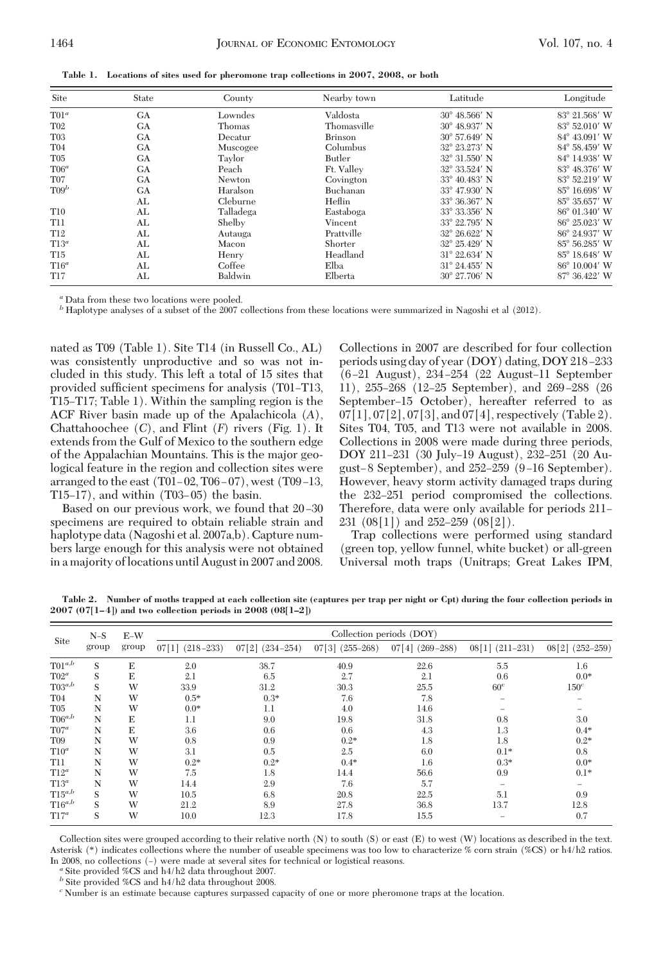|  |  |  |  | Table 1. Locations of sites used for pheromone trap collections in 2007, 2008, or both |  |  |  |
|--|--|--|--|----------------------------------------------------------------------------------------|--|--|--|
|--|--|--|--|----------------------------------------------------------------------------------------|--|--|--|

| Site            | State     | County        | Nearby town    | Latitude               | Longitude     |
|-----------------|-----------|---------------|----------------|------------------------|---------------|
| $T01^a$         | <b>GA</b> | Lowndes       | Valdosta       | $30^{\circ}$ 48.566' N | 83° 21.568' W |
| T02             | GA        | Thomas        | Thomasville    | $30^{\circ}$ 48.937' N | 83° 52.010′ W |
| T <sub>03</sub> | <b>GA</b> | Decatur       | <b>Brinson</b> | $30^{\circ}$ 57.649' N | 84° 43.091′ W |
| T04             | <b>GA</b> | Muscogee      | Columbus       | 32° 23.273' N          | 84° 58.459′ W |
| T05             | <b>GA</b> | Taylor        | Butler         | 32° 31.550′ N          | 84° 14.938' W |
| $T06^a$         | <b>GA</b> | Peach         | Ft. Valley     | 32° 33.524' N          | 83° 48.376′ W |
| T07             | <b>GA</b> | <b>Newton</b> | Covington      | $33^{\circ}$ 40.483' N | 83° 52.219′ W |
| $T09^b$         | <b>GA</b> | Haralson      | Buchanan       | $33^{\circ}$ 47.930' N | 85° 16.698′ W |
|                 | AL        | Cleburne      | Heflin         | 33° 36.367' N          | 85° 35.657′ W |
| T <sub>10</sub> | AL        | Talladega     | Eastaboga      | 33° 33.356' N          | 86° 01.340' W |
| <b>T11</b>      | AL        | Shelby        | Vincent        | 33° 22.795′ N          | 86° 25.023' W |
| T <sub>12</sub> | AL        | Autauga       | Prattville     | $32^{\circ}$ 26.622' N | 86° 24.937′ W |
| $T13^a$         | AL        | Macon         | Shorter        | 32° 25.429' N          | 85° 56.285′ W |
| T <sub>15</sub> | AL        | Henry         | Headland       | $31^{\circ}$ 22.634' N | 85° 18.648′ W |
| $T16^a$         | AL        | Coffee        | Elba           | $31^{\circ}$ 24.455' N | 86° 10.004' W |
| T17             | AL        | Baldwin       | Elberta        | $30^{\circ}$ 27.706' N | 87° 36.422′ W |

'Data from these two locations were pooled.

*<sup>b</sup>* Haplotype analyses of a subset of the 2007 collections from these locations were summarized in Nagoshi et al (2012).

nated as T09 (Table 1). Site T14 (in Russell Co., AL) was consistently unproductive and so was not included in this study. This left a total of 15 sites that provided sufficient specimens for analysis (T01–T13, T15-T17; Table 1). Within the sampling region is the ACF River basin made up of the Apalachicola (*A*), Chattahoochee (*C*), and Flint (*F*) rivers (Fig. 1). It extends from the Gulf of Mexico to the southern edge of the Appalachian Mountains. This is the major geological feature in the region and collection sites were arranged to the east (T01–02, T06–07), west (T09–13,  $T15-17$ ), and within  $(T03-05)$  the basin.

Based on our previous work, we found that  $20-30$ specimens are required to obtain reliable strain and haplotype data (Nagoshi et al. 2007a,b). Capture numbers large enough for this analysis were not obtained in a majority of locations until August in 2007 and 2008.

Collections in 2007 are described for four collection periods using day of year (DOY) dating, DOY 218-233 (6-21 August), 234-254 (22 August-11 September 11), 255–268 (12–25 September), and 269–288 (26 September–15 October), hereafter referred to as  $07[1], 07[2], 07[3],$  and  $07[4],$  respectively (Table 2). Sites T04, T05, and T13 were not available in 2008. Collections in 2008 were made during three periods, DOY 211-231 (30 July-19 August), 232-251 (20 August–8 September), and  $252-259$  (9-16 September). However, heavy storm activity damaged traps during the 232-251 period compromised the collections. Therefore, data were only available for periods 211– 231  $(08[1])$  and 252-259  $(08[2])$ .

Trap collections were performed using standard (green top, yellow funnel, white bucket) or all-green Universal moth traps (Unitraps; Great Lakes IPM,

**Table 2. Number of moths trapped at each collection site (captures per trap per night or Cpt) during the four collection periods in 2007 (07[1–4]) and two collection periods in 2008 (08[1–2])**

| Site            | $N-S$ | $E-W$<br>group | Collection periods (DOY) |                   |                   |                   |                          |                          |  |
|-----------------|-------|----------------|--------------------------|-------------------|-------------------|-------------------|--------------------------|--------------------------|--|
|                 | group |                | $07[1]$ $(218-233)$      | $07[2]$ (234-254) | $07[3]$ (255-268) | $07[4]$ (269-288) | $08[1]$ (211-231)        | $08[2]$ (252-259)        |  |
| $T01^{a,b}$     | S     | E              | 2.0                      | 38.7              | 40.9              | 22.6              | 5.5                      | 1.6                      |  |
| $T02^a$         | S     | E              | 2.1                      | 6.5               | 2.7               | 2.1               | 0.6                      | $0.0*$                   |  |
| $T03^{a,b}$     | S     | W              | 33.9                     | 31.2              | 30.3              | 25.5              | 60 <sup>c</sup>          | 150 <sup>c</sup>         |  |
| T <sub>04</sub> | N     | W              | $0.5*$                   | $0.3*$            | 7.6               | 7.8               | $\overline{\phantom{a}}$ | $\overline{\phantom{a}}$ |  |
| T <sub>05</sub> | N     | W              | $0.0*$                   | 1.1               | 4.0               | 14.6              |                          |                          |  |
| $T06^{a,b}$     | N     | E              | 1.1                      | 9.0               | 19.8              | 31.8              | 0.8                      | 3.0                      |  |
| $T07^a$         | N     | E              | 3.6                      | 0.6               | 0.6               | 4.3               | 1.3                      | $0.4*$                   |  |
| T <sub>09</sub> | N     | W              | 0.8                      | 0.9               | $0.2*$            | 1.8               | 1.8                      | $0.2*$                   |  |
| $T10^a$         | N     | W              | 3.1                      | 0.5               | 2.5               | 6.0               | $0.1*$                   | 0.8                      |  |
| <b>T11</b>      | N     | W              | $0.2*$                   | $0.2*$            | $0.4*$            | 1.6               | $0.3*$                   | $0.0*$                   |  |
| $T12^a$         | N     | W              | 7.5                      | 1.8               | 14.4              | 56.6              | 0.9                      | $0.1*$                   |  |
| $T13^a$         | N     | W              | 14.4                     | 2.9               | 7.6               | 5.7               |                          |                          |  |
| $T15^{a,b}$     | S     | W              | 10.5                     | 6.8               | 20.8              | 22.5              | 5.1                      | 0.9                      |  |
| $T16^{a,b}$     | S     | W              | 21.2                     | 8.9               | 27.8              | 36.8              | 13.7                     | 12.8                     |  |
| $T17^a$         | S     | W              | 10.0                     | 12.3              | 17.8              | 15.5              |                          | 0.7                      |  |

Collection sites were grouped according to their relative north (N) to south (S) or east (E) to west (W) locations as described in the text. Asterisk (\*) indicates collections where the number of useable specimens was too low to characterize % corn strain (%CS) or h4/h2 ratios. In 2008, no collections (–) were made at several sites for technical or logistical reasons.<br><sup>*a*</sup> Site provided %CS and h4/h2 data throughout 2007.

*<sup>b</sup>* Site provided %CS and h4/h2 data throughout 2008.

*<sup>c</sup>* Number is an estimate because captures surpassed capacity of one or more pheromone traps at the location.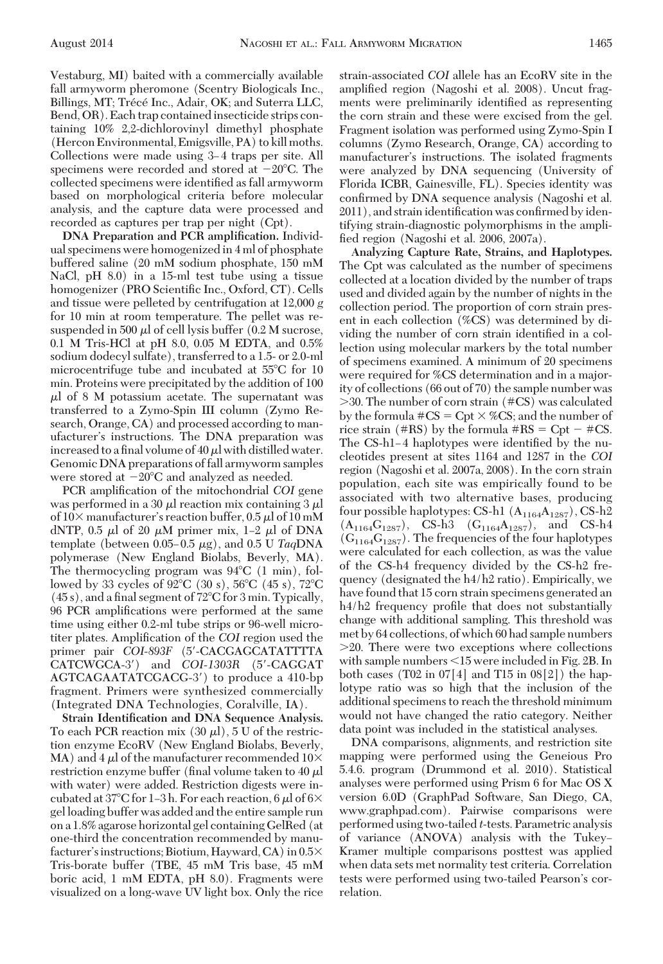Vestaburg, MI) baited with a commercially available fall armyworm pheromone (Scentry Biologicals Inc., Billings, MT; Trécé Inc., Adair, OK; and Suterra LLC, Bend, OR). Each trap contained insecticide strips containing 10% 2,2-dichlorovinyl dimethyl phosphate (Hercon Environmental, Emigsville, PA) to kill moths. Collections were made using 3–4 traps per site. All specimens were recorded and stored at  $-20^{\circ}$ C. The collected specimens were identified as fall armyworm based on morphological criteria before molecular analysis, and the capture data were processed and recorded as captures per trap per night (Cpt).

**DNA Preparation and PCR amplification.** Individual specimens were homogenized in 4 ml of phosphate buffered saline (20 mM sodium phosphate, 150 mM NaCl, pH 8.0) in a 15-ml test tube using a tissue homogenizer (PRO Scientific Inc., Oxford, CT). Cells and tissue were pelleted by centrifugation at 12,000 *g* for 10 min at room temperature. The pellet was resuspended in 500  $\mu$ l of cell lysis buffer (0.2 M sucrose, 0.1 M Tris-HCl at pH 8.0, 0.05 M EDTA, and 0.5% sodium dodecyl sulfate), transferred to a 1.5- or 2.0-ml microcentrifuge tube and incubated at 55°C for 10 min. Proteins were precipitated by the addition of 100  $\mu$ l of 8 M potassium acetate. The supernatant was transferred to a Zymo-Spin III column (Zymo Research, Orange, CA) and processed according to manufacturer's instructions. The DNA preparation was increased to a final volume of 40  $\mu$ l with distilled water. Genomic DNA preparations of fall armyworm samples were stored at  $-20^{\circ}$ C and analyzed as needed.

PCR amplification of the mitochondrial *COI* gene was performed in a 30  $\mu$ l reaction mix containing 3  $\mu$ l of  $10\times$  manufacturer's reaction buffer, 0.5  $\mu$ l of 10 mM dNTP,  $0.5$   $\mu$ l of  $20 \mu$ M primer mix,  $1-2 \mu$ l of DNA template (between 0.05–0.5 μg), and 0.5 U *Taq*DNA polymerase (New England Biolabs, Beverly, MA). The thermocycling program was  $94^{\circ}C$  (1 min), followed by 33 cycles of  $92^{\circ}C$  (30 s),  $56^{\circ}C$  (45 s),  $72^{\circ}C$  $(45 s)$ , and a final segment of  $72^{\circ}$ C for 3 min. Typically, 96 PCR amplifications were performed at the same time using either 0.2-ml tube strips or 96-well microtiter plates. Amplification of the *COI* region used the primer pair *COI-893F* (5-CACGAGCATATTTTA CATCWGCA-3) and *COI-1303R* (5-CAGGAT AGTCAGAATATCGACG-3) to produce a 410-bp fragment. Primers were synthesized commercially (Integrated DNA Technologies, Coralville, IA).

**Strain Identification and DNA Sequence Analysis.** To each PCR reaction mix  $(30 \mu I)$ , 5 U of the restriction enzyme EcoRV (New England Biolabs, Beverly, MA) and 4  $\mu$ l of the manufacturer recommended 10 $\times$ restriction enzyme buffer (final volume taken to 40  $\mu$ l with water) were added. Restriction digests were incubated at 37°C for 1-3 h. For each reaction, 6  $\mu$ l of 6× gel loading buffer was added and the entire sample run on a 1.8% agarose horizontal gel containing GelRed (at one-third the concentration recommended by manufacturer's instructions; Biotium, Hayward, CA) in 0.5 $\times$ Tris-borate buffer (TBE, 45 mM Tris base, 45 mM boric acid, 1 mM EDTA, pH 8.0). Fragments were visualized on a long-wave UV light box. Only the rice

strain-associated *COI* allele has an EcoRV site in the amplified region (Nagoshi et al. 2008). Uncut fragments were preliminarily identified as representing the corn strain and these were excised from the gel. Fragment isolation was performed using Zymo-Spin I columns (Zymo Research, Orange, CA) according to manufacturer's instructions. The isolated fragments were analyzed by DNA sequencing (University of Florida ICBR, Gainesville, FL). Species identity was confirmed by DNA sequence analysis (Nagoshi et al.  $2011$ ), and strain identification was confirmed by identifying strain-diagnostic polymorphisms in the amplified region (Nagoshi et al. 2006, 2007a).

**Analyzing Capture Rate, Strains, and Haplotypes.** The Cpt was calculated as the number of specimens collected at a location divided by the number of traps used and divided again by the number of nights in the collection period. The proportion of corn strain present in each collection (%CS) was determined by dividing the number of corn strain identified in a collection using molecular markers by the total number of specimens examined. A minimum of 20 specimens were required for %CS determination and in a majority of collections (66 out of 70) the sample number was -30. The number of corn strain (#CS) was calculated by the formula  $\#CS = Cpt \times \%CS$ ; and the number of rice strain (#RS) by the formula  $\text{#RS} = \text{Cpt} - \text{#CS}$ . The CS-h1-4 haplotypes were identified by the nucleotides present at sites 1164 and 1287 in the *COI* region (Nagoshi et al. 2007a, 2008). In the corn strain population, each site was empirically found to be associated with two alternative bases, producing four possible haplotypes: CS-h1  $(A_{1164}A_{1287})$ , CS-h2  $(A_{1164}G_{1287}),$  CS-h3  $(G_{1164}A_{1287}),$  and CS-h4  $(G_{1164}G_{1287})$ . The frequencies of the four haplotypes were calculated for each collection, as was the value of the CS-h4 frequency divided by the CS-h2 frequency (designated the h4/h2 ratio). Empirically, we have found that 15 corn strain specimens generated an  $h_4/h_2$  frequency profile that does not substantially change with additional sampling. This threshold was met by 64 collections, of which 60 had sample numbers -20. There were two exceptions where collections with sample numbers 15 were included in Fig. 2B. In both cases (T02 in  $07[4]$  and T15 in  $08[2]$ ) the haplotype ratio was so high that the inclusion of the additional specimens to reach the threshold minimum would not have changed the ratio category. Neither data point was included in the statistical analyses.

DNA comparisons, alignments, and restriction site mapping were performed using the Geneious Pro 5.4.6. program (Drummond et al. 2010). Statistical analyses were performed using Prism 6 for Mac OS X version 6.0D (GraphPad Software, San Diego, CA, www.graphpad.com). Pairwise comparisons were performed using two-tailed *t*-tests. Parametric analysis of variance (ANOVA) analysis with the Tukey– Kramer multiple comparisons posttest was applied when data sets met normality test criteria. Correlation tests were performed using two-tailed Pearson's correlation.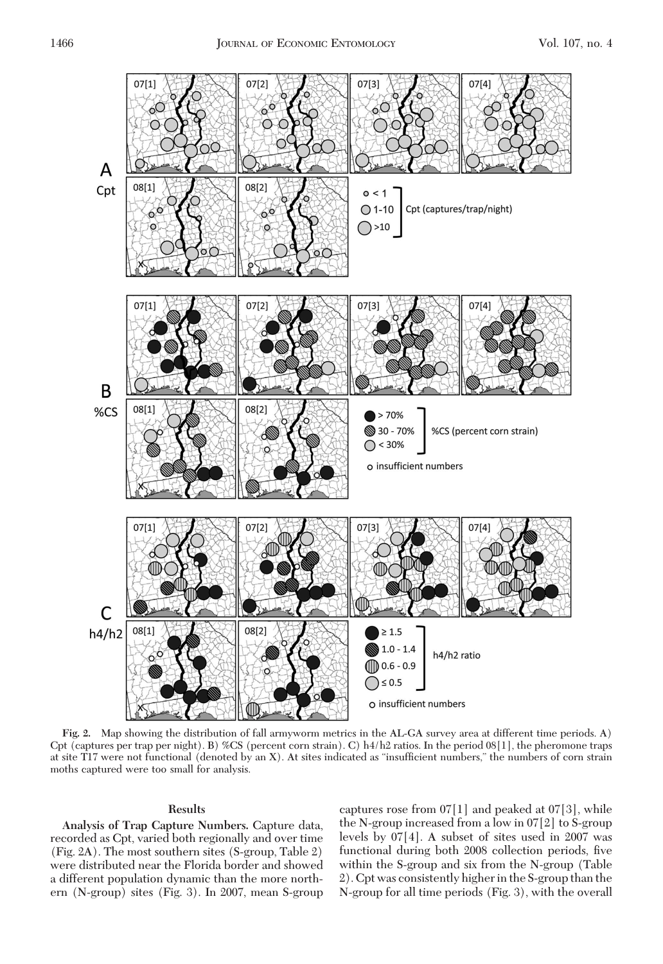

**Fig. 2.** Map showing the distribution of fall armyworm metrics in the AL-GA survey area at different time periods. A) Cpt (captures per trap per night). B) %CS (percent corn strain). C) h4/h2 ratios. In the period 08[1], the pheromone traps at site T17 were not functional (denoted by an X). At sites indicated as "insufficient numbers," the numbers of corn strain moths captured were too small for analysis.

# **Results**

**Analysis of Trap Capture Numbers.** Capture data, recorded as Cpt, varied both regionally and over time (Fig. 2A). The most southern sites (S-group, Table 2) were distributed near the Florida border and showed a different population dynamic than the more northern (N-group) sites (Fig. 3). In 2007, mean S-group captures rose from  $07[1]$  and peaked at  $07[3]$ , while the N-group increased from a low in 07[2] to S-group levels by 07[4]. A subset of sites used in 2007 was functional during both 2008 collection periods, five within the S-group and six from the N-group (Table 2). Cpt was consistently higher in the S-group than the N-group for all time periods (Fig. 3), with the overall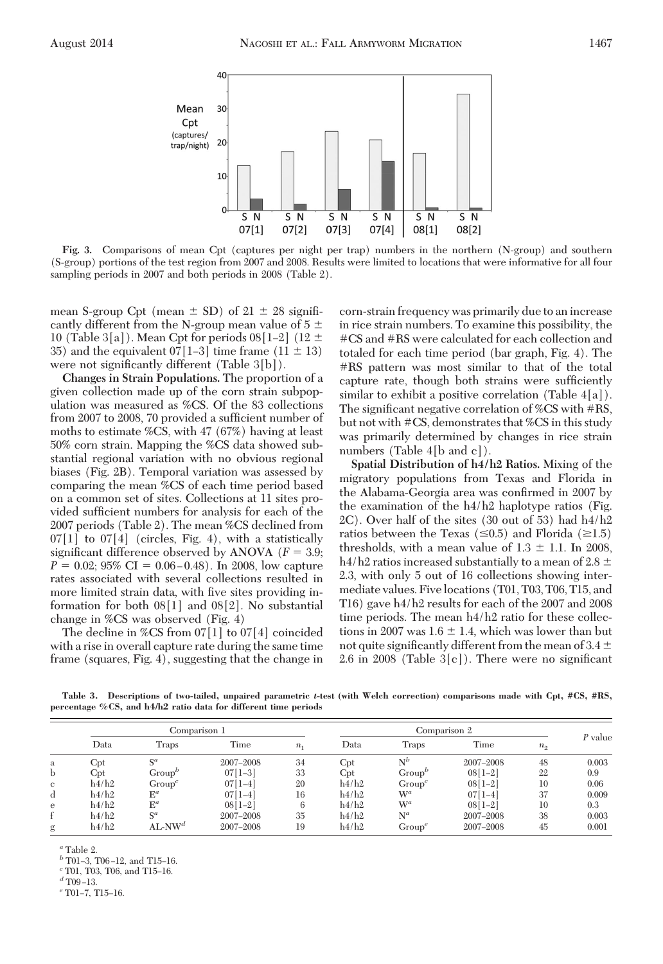

**Fig. 3.** Comparisons of mean Cpt (captures per night per trap) numbers in the northern (N-group) and southern (S-group) portions of the test region from 2007 and 2008. Results were limited to locations that were informative for all four sampling periods in 2007 and both periods in 2008 (Table 2).

mean S-group Cpt (mean  $\pm$  SD) of 21  $\pm$  28 significantly different from the N-group mean value of  $5 \pm$ 10 (Table 3[a]). Mean Cpt for periods  $08[1-2]$  (12  $\pm$ 35) and the equivalent  $07[1-3]$  time frame  $(11 \pm 13)$ were not significantly different  $(Table 3[b])$ .

**Changes in Strain Populations.** The proportion of a given collection made up of the corn strain subpopulation was measured as %CS. Of the 83 collections from 2007 to 2008, 70 provided a sufficient number of moths to estimate %CS, with 47 (67%) having at least 50% corn strain. Mapping the %CS data showed substantial regional variation with no obvious regional biases (Fig. 2B). Temporal variation was assessed by comparing the mean %CS of each time period based on a common set of sites. Collections at 11 sites provided sufficient numbers for analysis for each of the 2007 periods (Table 2). The mean %CS declined from  $07[1]$  to  $07[4]$  (circles, Fig. 4), with a statistically significant difference observed by ANOVA  $(F = 3.9;$  $P = 0.02$ ; 95% CI = 0.06 – 0.48). In 2008, low capture rates associated with several collections resulted in more limited strain data, with five sites providing information for both 08[1] and 08[2]. No substantial change in %CS was observed (Fig. 4)

The decline in %CS from 07[1] to 07[4] coincided with a rise in overall capture rate during the same time frame (squares, Fig. 4), suggesting that the change in corn-strain frequency was primarily due to an increase in rice strain numbers. To examine this possibility, the #CS and #RS were calculated for each collection and totaled for each time period (bar graph, Fig. 4). The #RS pattern was most similar to that of the total capture rate, though both strains were sufficiently similar to exhibit a positive correlation  $(Table 4[a])$ . The significant negative correlation of %CS with  $\#RS$ , but not with #CS, demonstrates that %CS in this study was primarily determined by changes in rice strain numbers (Table 4[b and c]).

**Spatial Distribution of h4/h2 Ratios.** Mixing of the migratory populations from Texas and Florida in the Alabama-Georgia area was confirmed in 2007 by the examination of the h4/h2 haplotype ratios (Fig. 2C). Over half of the sites (30 out of 53) had h4/h2 ratios between the Texas ( $\leq 0.5$ ) and Florida ( $\geq 1.5$ ) thresholds, with a mean value of  $1.3 \pm 1.1$ . In 2008, h4/h2 ratios increased substantially to a mean of 2.8  $\pm$ 2.3, with only 5 out of 16 collections showing intermediate values. Five locations (T01, T03, T06, T15, and T16) gave h4/h2 results for each of the 2007 and 2008 time periods. The mean  $h/4h/2$  ratio for these collections in 2007 was  $1.6 \pm 1.4$ , which was lower than but not quite significantly different from the mean of 3.4  $\pm$ 2.6 in 2008 (Table  $3[c]$ ). There were no significant

**Table 3. Descriptions of two-tailed, unpaired parametric** *t***-test (with Welch correction) comparisons made with Cpt, #CS, #RS, percentage %CS, and h4/h2 ratio data for different time periods**

|   |       | Comparison 1   |           |                | Comparison 2 |              |           |         |           |
|---|-------|----------------|-----------|----------------|--------------|--------------|-----------|---------|-----------|
|   | Data  | Traps          | Time      | n <sub>1</sub> | Data         | <b>Traps</b> | Time      | $n_{2}$ | $P$ value |
| a | Cpt   | $S^a$          | 2007-2008 | 34             | Cpt          | $N^b$        | 2007-2008 | 48      | 0.003     |
| b | Cpt   | $Group^p$      | $07[1-3]$ | 33             | Cpt          | $Group^b$    | $08[1-2]$ | 22      | 0.9       |
| c | h4/h2 | $Group^c$      | $07[1-4]$ | 20             | h4/h2        | $Group^c$    | $08[1-2]$ | 10      | 0.06      |
| d | h4/h2 | $E^a$          | $07[1-4]$ | 16             | h4/h2        | $W^a$        | $07[1-4]$ | 37      | 0.009     |
| e | h4/h2 | $\mathbb{E}^a$ | $08[1-2]$ |                | h4/h2        | $W^a$        | $08[1-2]$ | 10      | 0.3       |
| f | h4/h2 | $S^a$          | 2007-2008 | 35             | h4/h2        | $N^a$        | 2007-2008 | 38      | 0.003     |
| g | h4/h2 | $AL-NWd$       | 2007-2008 | 19             | h4/h2        | $Group^e$    | 2007-2008 | 45      | 0.001     |

*<sup>a</sup>* Table 2.

*b* T01-3, T06-12, and T15-16.

 $c$  T01, T03, T06, and T15-16.

 $d$  T09-13.

 $e$ <sup>e</sup> T01-7, T15-16.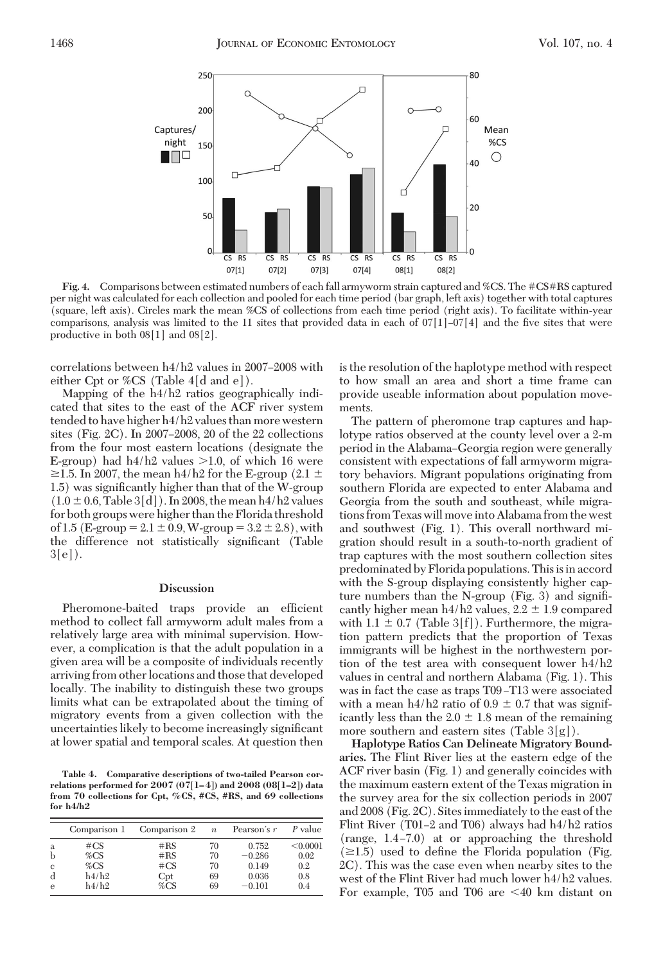

**Fig. 4.** Comparisons between estimated numbers of each fall armyworm strain captured and %CS. The #CS#RS captured per night was calculated for each collection and pooled for each time period (bar graph, left axis) together with total captures (square, left axis). Circles mark the mean %CS of collections from each time period (right axis). To facilitate within-year comparisons, analysis was limited to the 11 sites that provided data in each of  $07|1]-07|4$  and the five sites that were productive in both 08[1] and 08[2].

correlations between  $h4/h2$  values in 2007–2008 with either Cpt or %CS (Table 4[d and e]).

Mapping of the h4/h2 ratios geographically indicated that sites to the east of the ACF river system tended to have higher h4/h2 values than more western sites (Fig. 2C). In 2007–2008, 20 of the 22 collections from the four most eastern locations (designate the E-group) had  $h4/h2$  values  $>1.0$ , of which 16 were  $\ge$ 1.5. In 2007, the mean h4/h2 for the E-group (2.1  $\pm$ 1.5) was significantly higher than that of the W-group  $(1.0 \pm 0.6, \text{Table 3[d]})$ . In 2008, the mean h4/h2 values for both groups were higher than the Florida threshold of 1.5 (E-group =  $2.1 \pm 0.9$ , W-group =  $3.2 \pm 2.8$ ), with the difference not statistically significant (Table  $3[e]$ .

### **Discussion**

Pheromone-baited traps provide an efficient method to collect fall armyworm adult males from a relatively large area with minimal supervision. However, a complication is that the adult population in a given area will be a composite of individuals recently arriving from other locations and those that developed locally. The inability to distinguish these two groups limits what can be extrapolated about the timing of migratory events from a given collection with the uncertainties likely to become increasingly significant at lower spatial and temporal scales. At question then

**Table 4. Comparative descriptions of two-tailed Pearson correlations performed for 2007 (07[1–4]) and 2008 (08[1–2]) data from 70 collections for Cpt, %CS, #CS, #RS, and 69 collections for h4/h2**

|   | Comparison 1 | Comparison 2 | $\boldsymbol{n}$ | Pearson's r | P value  |
|---|--------------|--------------|------------------|-------------|----------|
| a | $\#CS$       | #RS          | 70               | 0.752       | < 0.0001 |
| b | %CS          | #RS          | 70               | $-0.286$    | 0.02     |
| c | %CS          | $\#CS$       | 70               | 0.149       | 0.2      |
| d | h4/h2        | Cpt          | 69               | 0.036       | 0.8      |
| e | h4/h2        | %CS          | 69               | $-0.101$    | 0.4      |

is the resolution of the haplotype method with respect to how small an area and short a time frame can provide useable information about population movements.

The pattern of pheromone trap captures and haplotype ratios observed at the county level over a 2-m period in the Alabama–Georgia region were generally consistent with expectations of fall armyworm migratory behaviors. Migrant populations originating from southern Florida are expected to enter Alabama and Georgia from the south and southeast, while migrations from Texas will moveinto Alabama from the west and southwest (Fig. 1). This overall northward migration should result in a south-to-north gradient of trap captures with the most southern collection sites predominated by Florida populations. This is in accord with the S-group displaying consistently higher capture numbers than the N-group (Fig. 3) and signiÞcantly higher mean h4/h2 values,  $2.2 \pm 1.9$  compared with  $1.1 \pm 0.7$  (Table 3[f]). Furthermore, the migration pattern predicts that the proportion of Texas immigrants will be highest in the northwestern portion of the test area with consequent lower h4/h2 values in central and northern Alabama (Fig. 1). This was in fact the case as traps T09–T13 were associated with a mean  $h/4h2$  ratio of  $0.9 \pm 0.7$  that was significantly less than the  $2.0 \pm 1.8$  mean of the remaining more southern and eastern sites (Table 3[g]).

**Haplotype Ratios Can Delineate Migratory Boundaries.** The Flint River lies at the eastern edge of the ACF river basin (Fig. 1) and generally coincides with the maximum eastern extent of the Texas migration in the survey area for the six collection periods in 2007 and 2008 (Fig. 2C). Sites immediately to the east of the Flint River (T01–2 and T06) always had  $h4/h2$  ratios  $(range, 1.4-7.0)$  at or approaching the threshold  $(\geq 1.5)$  used to define the Florida population (Fig. 2C). This was the case even when nearby sites to the west of the Flint River had much lower h4/h2 values. For example, T05 and T06 are  $\leq 40$  km distant on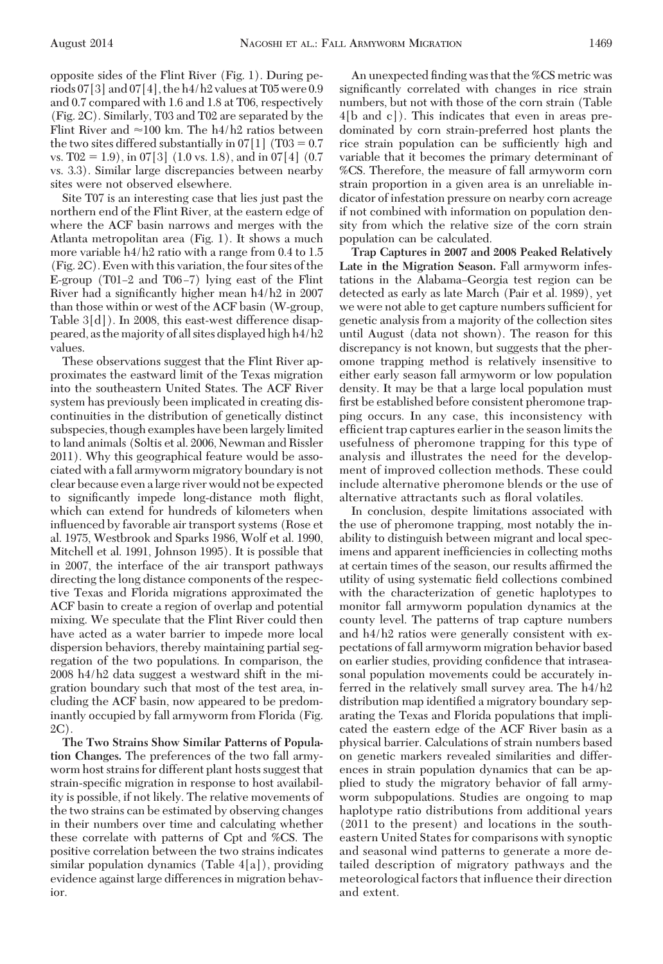opposite sides of the Flint River (Fig. 1). During periods  $07[3]$  and  $07[4]$ , the h $4/h2$  values at T05 were 0.9 and 0.7 compared with 1.6 and 1.8 at T06, respectively (Fig. 2C). Similarly, T03 and T02 are separated by the Flint River and  $\approx$ 100 km. The h4/h2 ratios between the two sites differed substantially in  $07[1]$  (T03 = 0.7) vs. T02 = 1.9), in 07[3] (1.0 vs. 1.8), and in 07[4] (0.7) vs. 3.3). Similar large discrepancies between nearby sites were not observed elsewhere.

Site T07 is an interesting case that lies just past the northern end of the Flint River, at the eastern edge of where the ACF basin narrows and merges with the Atlanta metropolitan area (Fig. 1). It shows a much more variable h4/h2 ratio with a range from 0.4 to 1.5 (Fig. 2C). Even with this variation, the four sites of the E-group (T01–2 and T06–7) lying east of the Flint River had a significantly higher mean  $h4/h2$  in 2007 than those within or west of the ACF basin (W-group, Table 3[d]). In 2008, this east-west difference disappeared, as the majority of all sites displayed high h4/h2 values.

These observations suggest that the Flint River approximates the eastward limit of the Texas migration into the southeastern United States. The ACF River system has previously been implicated in creating discontinuities in the distribution of genetically distinct subspecies, though examples have beenlargelylimited to land animals (Soltis et al. 2006, Newman and Rissler 2011). Why this geographical feature would be associated with a fall armyworm migratory boundary is not clear because even a large river would not be expected to significantly impede long-distance moth flight, which can extend for hundreds of kilometers when inßuenced by favorable air transport systems (Rose et al. 1975, Westbrook and Sparks 1986, Wolf et al. 1990, Mitchell et al. 1991, Johnson 1995). It is possible that in 2007, the interface of the air transport pathways directing the long distance components of the respective Texas and Florida migrations approximated the ACF basin to create a region of overlap and potential mixing. We speculate that the Flint River could then have acted as a water barrier to impede more local dispersion behaviors, thereby maintaining partial segregation of the two populations. In comparison, the 2008 h4/h2 data suggest a westward shift in the migration boundary such that most of the test area, including the ACF basin, now appeared to be predominantly occupied by fall armyworm from Florida (Fig. 2C).

**The Two Strains Show Similar Patterns of Population Changes.** The preferences of the two fall armyworm host strains for different plant hosts suggest that strain-specific migration in response to host availability is possible, if not likely. The relative movements of the two strains can be estimated by observing changes in their numbers over time and calculating whether these correlate with patterns of Cpt and %CS. The positive correlation between the two strains indicates similar population dynamics (Table 4[a]), providing evidence against large differences in migration behavior.

An unexpected finding was that the %CS metric was significantly correlated with changes in rice strain numbers, but not with those of the corn strain (Table 4[b and c]). This indicates that even in areas predominated by corn strain-preferred host plants the rice strain population can be sufficiently high and variable that it becomes the primary determinant of %CS. Therefore, the measure of fall armyworm corn strain proportion in a given area is an unreliable indicator of infestation pressure on nearby corn acreage if not combined with information on population density from which the relative size of the corn strain population can be calculated.

**Trap Captures in 2007 and 2008 Peaked Relatively Late in the Migration Season.** Fall armyworm infestations in the Alabama–Georgia test region can be detected as early as late March (Pair et al. 1989), yet we were not able to get capture numbers sufficient for genetic analysis from a majority of the collection sites until August (data not shown). The reason for this discrepancy is not known, but suggests that the pheromone trapping method is relatively insensitive to either early season fall armyworm or low population density. It may be that a large local population must first be established before consistent pheromone trapping occurs. In any case, this inconsistency with efficient trap captures earlier in the season limits the usefulness of pheromone trapping for this type of analysis and illustrates the need for the development of improved collection methods. These could include alternative pheromone blends or the use of alternative attractants such as floral volatiles.

In conclusion, despite limitations associated with the use of pheromone trapping, most notably the inability to distinguish between migrant and local specimens and apparent inefficiencies in collecting moths at certain times of the season, our results affirmed the utility of using systematic field collections combined with the characterization of genetic haplotypes to monitor fall armyworm population dynamics at the county level. The patterns of trap capture numbers and h4/h2 ratios were generally consistent with expectations of fall armyworm migration behavior based on earlier studies, providing confidence that intraseasonal population movements could be accurately inferred in the relatively small survey area. The h4/h2 distribution map identified a migratory boundary separating the Texas and Florida populations that implicated the eastern edge of the ACF River basin as a physical barrier. Calculations of strain numbers based on genetic markers revealed similarities and differences in strain population dynamics that can be applied to study the migratory behavior of fall armyworm subpopulations. Studies are ongoing to map haplotype ratio distributions from additional years (2011 to the present) and locations in the southeastern United States for comparisons with synoptic and seasonal wind patterns to generate a more detailed description of migratory pathways and the meteorological factors that inßuence their direction and extent.